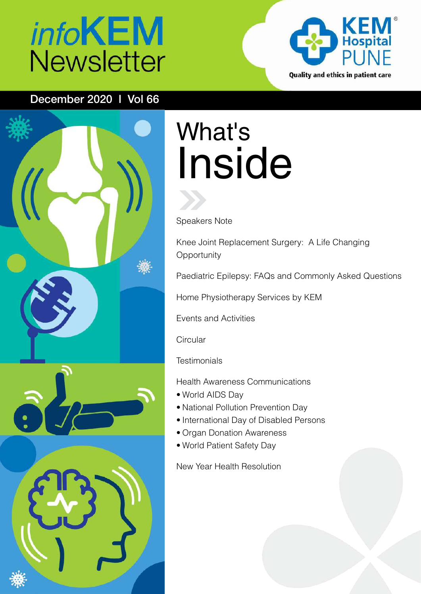# *info***KEM Newsletter**



### December 2020 l Vol 66



# What's Inside

#### Speakers Note

Knee Joint Replacement Surgery: A Life Changing **Opportunity** 

Paediatric Epilepsy: FAQs and Commonly Asked Questions

Home Physiotherapy Services by KEM

Events and Activities

**Circular** 

**Testimonials** 

Health Awareness Communications

- World AIDS Day
- • National Pollution Prevention Day
- • International Day of Disabled Persons
- Organ Donation Awareness
- World Patient Safety Day

New Year Health Resolution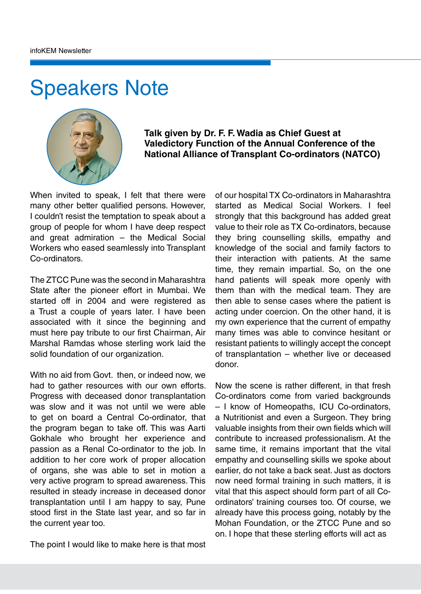### Speakers Note



**Talk given by Dr. F. F. Wadia as Chief Guest at Valedictory Function of the Annual Conference of the National Alliance of Transplant Co-ordinators (NATCO)**

When invited to speak, I felt that there were many other better qualified persons. However, I couldn't resist the temptation to speak about a group of people for whom I have deep respect and great admiration – the Medical Social Workers who eased seamlessly into Transplant Co-ordinators.

The ZTCC Pune was the second in Maharashtra State after the pioneer effort in Mumbai. We started off in 2004 and were registered as a Trust a couple of years later. I have been associated with it since the beginning and must here pay tribute to our first Chairman, Air Marshal Ramdas whose sterling work laid the solid foundation of our organization.

With no aid from Govt. then, or indeed now, we had to gather resources with our own efforts. Progress with deceased donor transplantation was slow and it was not until we were able to get on board a Central Co-ordinator, that the program began to take off. This was Aarti Gokhale who brought her experience and passion as a Renal Co-ordinator to the job. In addition to her core work of proper allocation of organs, she was able to set in motion a very active program to spread awareness. This resulted in steady increase in deceased donor transplantation until I am happy to say, Pune stood first in the State last year, and so far in the current year too.

The point I would like to make here is that most

of our hospital TX Co-ordinators in Maharashtra started as Medical Social Workers. I feel strongly that this background has added great value to their role as TX Co-ordinators, because they bring counselling skills, empathy and knowledge of the social and family factors to their interaction with patients. At the same time, they remain impartial. So, on the one hand patients will speak more openly with them than with the medical team. They are then able to sense cases where the patient is acting under coercion. On the other hand, it is my own experience that the current of empathy many times was able to convince hesitant or resistant patients to willingly accept the concept of transplantation – whether live or deceased donor.

Now the scene is rather different, in that fresh Co-ordinators come from varied backgrounds – I know of Homeopaths, ICU Co-ordinators, a Nutritionist and even a Surgeon. They bring valuable insights from their own fields which will contribute to increased professionalism. At the same time, it remains important that the vital empathy and counselling skills we spoke about earlier, do not take a back seat. Just as doctors now need formal training in such matters, it is vital that this aspect should form part of all Coordinators' training courses too. Of course, we already have this process going, notably by the Mohan Foundation, or the ZTCC Pune and so on. I hope that these sterling efforts will act as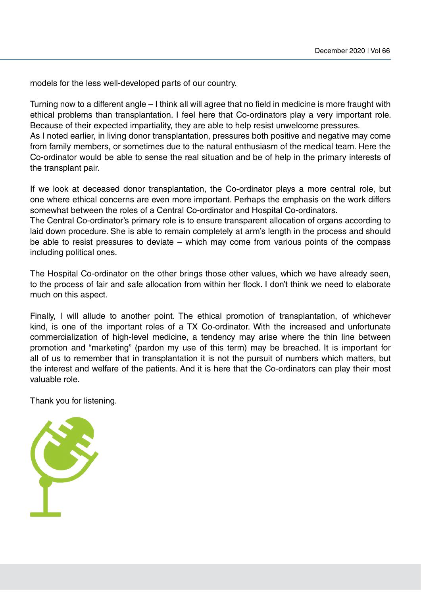models for the less well-developed parts of our country.

Turning now to a different angle – I think all will agree that no field in medicine is more fraught with ethical problems than transplantation. I feel here that Co-ordinators play a very important role. Because of their expected impartiality, they are able to help resist unwelcome pressures. As I noted earlier, in living donor transplantation, pressures both positive and negative may come from family members, or sometimes due to the natural enthusiasm of the medical team. Here the Co-ordinator would be able to sense the real situation and be of help in the primary interests of the transplant pair.

If we look at deceased donor transplantation, the Co-ordinator plays a more central role, but one where ethical concerns are even more important. Perhaps the emphasis on the work differs somewhat between the roles of a Central Co-ordinator and Hospital Co-ordinators.

The Central Co-ordinator's primary role is to ensure transparent allocation of organs according to laid down procedure. She is able to remain completely at arm's length in the process and should be able to resist pressures to deviate – which may come from various points of the compass including political ones.

The Hospital Co-ordinator on the other brings those other values, which we have already seen, to the process of fair and safe allocation from within her flock. I don't think we need to elaborate much on this aspect.

Finally, I will allude to another point. The ethical promotion of transplantation, of whichever kind, is one of the important roles of a TX Co-ordinator. With the increased and unfortunate commercialization of high-level medicine, a tendency may arise where the thin line between promotion and "marketing" (pardon my use of this term) may be breached. It is important for all of us to remember that in transplantation it is not the pursuit of numbers which matters, but the interest and welfare of the patients. And it is here that the Co-ordinators can play their most valuable role.

Thank you for listening.

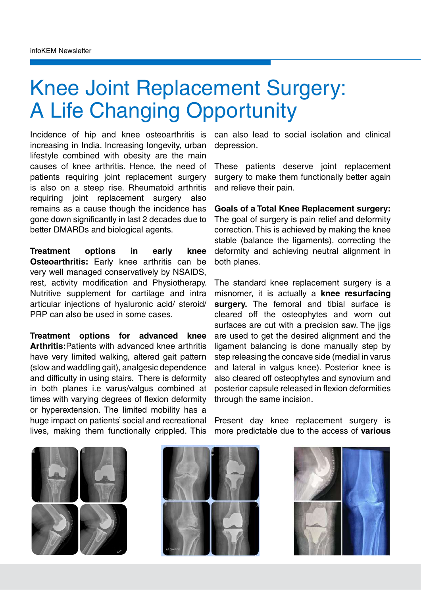## Knee Joint Replacement Surgery: A Life Changing Opportunity

increasing in India. Increasing longevity, urban lifestyle combined with obesity are the main causes of knee arthritis. Hence, the need of patients requiring joint replacement surgery is also on a steep rise. Rheumatoid arthritis requiring joint replacement surgery also remains as a cause though the incidence has gone down significantly in last 2 decades due to better DMARDs and biological agents.

**Treatment options in early knee Osteoarthritis:** Early knee arthritis can be very well managed conservatively by NSAIDS, rest, activity modification and Physiotherapy. Nutritive supplement for cartilage and intra articular injections of hyaluronic acid/ steroid/ PRP can also be used in some cases.

**Treatment options for advanced knee Arthritis: Patients with advanced knee arthritis** have very limited walking, altered gait pattern (slow and waddling gait), analgesic dependence and difficulty in using stairs. There is deformity in both planes i.e varus/valgus combined at times with varying degrees of flexion deformity or hyperextension. The limited mobility has a huge impact on patients' social and recreational lives, making them functionally crippled. This

Incidence of hip and knee osteoarthritis is can also lead to social isolation and clinical depression.

> These patients deserve joint replacement surgery to make them functionally better again and relieve their pain.

> **Goals of a Total Knee Replacement surgery:** The goal of surgery is pain relief and deformity correction. This is achieved by making the knee stable (balance the ligaments), correcting the deformity and achieving neutral alignment in both planes.

> The standard knee replacement surgery is a misnomer, it is actually a **knee resurfacing surgery.** The femoral and tibial surface is cleared off the osteophytes and worn out surfaces are cut with a precision saw. The jigs are used to get the desired alignment and the ligament balancing is done manually step by step releasing the concave side (medial in varus and lateral in valgus knee). Posterior knee is also cleared off osteophytes and synovium and posterior capsule released in flexion deformities through the same incision.







Present day knee replacement surgery is more predictable due to the access of **various**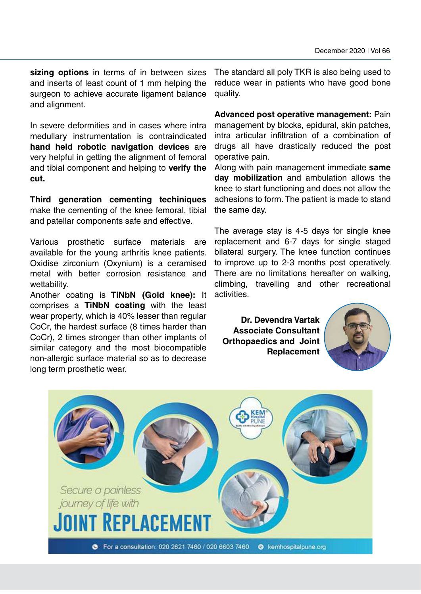**sizing options** in terms of in between sizes and inserts of least count of 1 mm helping the surgeon to achieve accurate ligament balance and alignment.

In severe deformities and in cases where intra medullary instrumentation is contraindicated **hand held robotic navigation devices** are very helpful in getting the alignment of femoral and tibial component and helping to **verify the cut.**

**Third generation cementing techiniques** make the cementing of the knee femoral, tibial and patellar components safe and effective.

Various prosthetic surface materials are available for the young arthritis knee patients. Oxidise zirconium (Oxynium) is a ceramised metal with better corrosion resistance and wettability.

Another coating is **TiNbN (Gold knee):** It comprises a **TiNbN coating** with the least wear property, which is 40% lesser than regular CoCr, the hardest surface (8 times harder than CoCr), 2 times stronger than other implants of similar category and the most biocompatible non-allergic surface material so as to decrease long term prosthetic wear.

The standard all poly TKR is also being used to reduce wear in patients who have good bone quality.

**Advanced post operative management:** Pain management by blocks, epidural, skin patches, intra articular infiltration of a combination of drugs all have drastically reduced the post operative pain.

Along with pain management immediate **same day mobilization** and ambulation allows the knee to start functioning and does not allow the adhesions to form. The patient is made to stand the same day.

The average stay is 4-5 days for single knee replacement and 6-7 days for single staged bilateral surgery. The knee function continues to improve up to 2-3 months post operatively. There are no limitations hereafter on walking, climbing, travelling and other recreational activities.

**Dr. Devendra Vartak Associate Consultant Orthopaedics and Joint Replacement**



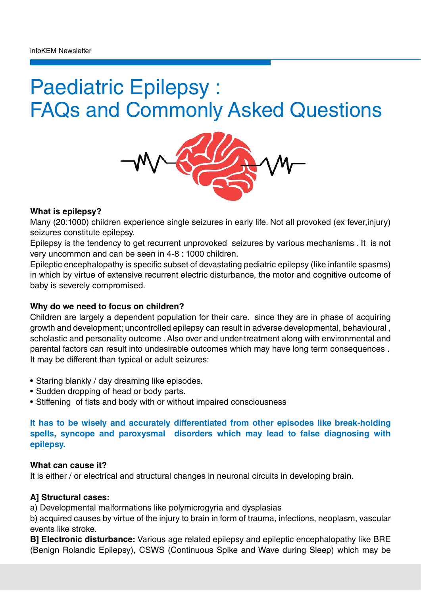## Paediatric Epilepsy : FAQs and Commonly Asked Questions



#### **What is epilepsy?**

Many (20:1000) children experience single seizures in early life. Not all provoked (ex fever,injury) seizures constitute epilepsy.

Epilepsy is the tendency to get recurrent unprovoked seizures by various mechanisms . It is not very uncommon and can be seen in 4-8 : 1000 children.

Epileptic encephalopathy is specific subset of devastating pediatric epilepsy (like infantile spasms) in which by virtue of extensive recurrent electric disturbance, the motor and cognitive outcome of baby is severely compromised.

#### **Why do we need to focus on children?**

Children are largely a dependent population for their care. since they are in phase of acquiring growth and development; uncontrolled epilepsy can result in adverse developmental, behavioural , scholastic and personality outcome . Also over and under-treatment along with environmental and parental factors can result into undesirable outcomes which may have long term consequences . It may be different than typical or adult seizures:

- Staring blankly / day dreaming like episodes.
- Sudden dropping of head or body parts.
- Stiffening of fists and body with or without impaired consciousness

#### **It has to be wisely and accurately differentiated from other episodes like break-holding spells, syncope and paroxysmal disorders which may lead to false diagnosing with epilepsy.**

#### **What can cause it?**

It is either / or electrical and structural changes in neuronal circuits in developing brain.

#### **A] Structural cases:**

a) Developmental malformations like polymicrogyria and dysplasias

b) acquired causes by virtue of the injury to brain in form of trauma, infections, neoplasm, vascular events like stroke.

**B] Electronic disturbance:** Various age related epilepsy and epileptic encephalopathy like BRE (Benign Rolandic Epilepsy), CSWS (Continuous Spike and Wave during Sleep) which may be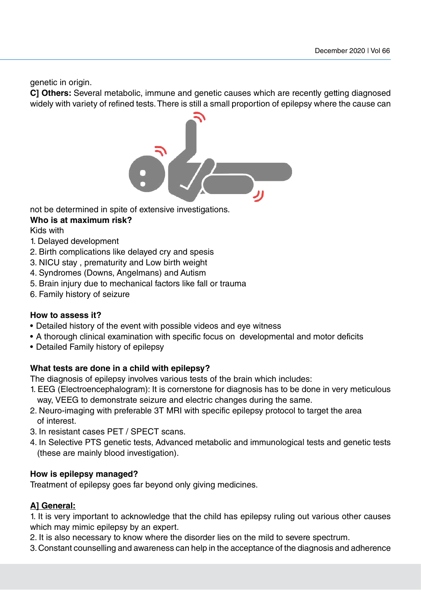genetic in origin.

**C] Others:** Several metabolic, immune and genetic causes which are recently getting diagnosed widely with variety of refined tests. There is still a small proportion of epilepsy where the cause can



not be determined in spite of extensive investigations.

**Who is at maximum risk?**

Kids with

- 1. Delayed development
- 2. Birth complications like delayed cry and spesis
- 3. NICU stay , prematurity and Low birth weight
- 4. Syndromes (Downs, Angelmans) and Autism
- 5. Brain injury due to mechanical factors like fall or trauma
- 6. Family history of seizure

#### **How to assess it?**

- Detailed history of the event with possible videos and eye witness
- A thorough clinical examination with specific focus on developmental and motor deficits
- Detailed Family history of epilepsy

#### **What tests are done in a child with epilepsy?**

The diagnosis of epilepsy involves various tests of the brain which includes:

- 1. EEG (Electroencephalogram): It is cornerstone for diagnosis has to be done in very meticulous way, VEEG to demonstrate seizure and electric changes during the same.
- 2. Neuro-imaging with preferable 3T MRI with specific epilepsy protocol to target the area of interest.
- 3. In resistant cases PET / SPECT scans.
- 4. In Selective PTS genetic tests, Advanced metabolic and immunological tests and genetic tests (these are mainly blood investigation).

#### **How is epilepsy managed?**

Treatment of epilepsy goes far beyond only giving medicines.

#### **A] General:**

1. It is very important to acknowledge that the child has epilepsy ruling out various other causes which may mimic epilepsy by an expert.

2. It is also necessary to know where the disorder lies on the mild to severe spectrum.

3. Constant counselling and awareness can help in the acceptance of the diagnosis and adherence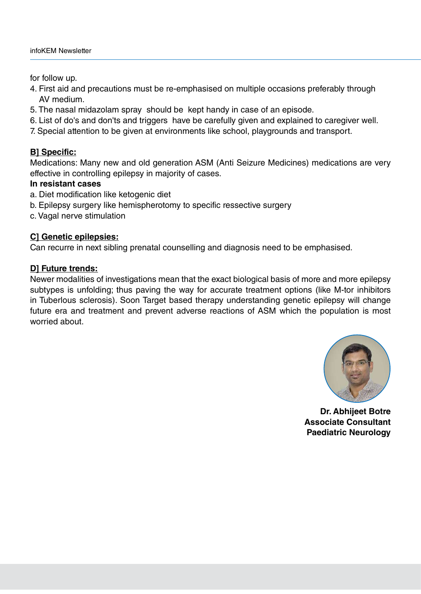for follow up.

- 4. First aid and precautions must be re-emphasised on multiple occasions preferably through AV medium.
- 5. The nasal midazolam spray should be kept handy in case of an episode.
- 6. List of do's and don'ts and triggers have be carefully given and explained to caregiver well.
- 7. Special attention to be given at environments like school, playgrounds and transport.

#### **B] Specific:**

Medications: Many new and old generation ASM (Anti Seizure Medicines) medications are very effective in controlling epilepsy in majority of cases.

#### **In resistant cases**

- a. Diet modification like ketogenic diet
- b. Epilepsy surgery like hemispherotomy to specific ressective surgery
- c. Vagal nerve stimulation

#### **C] Genetic epilepsies:**

Can recurre in next sibling prenatal counselling and diagnosis need to be emphasised.

#### **D] Future trends:**

Newer modalities of investigations mean that the exact biological basis of more and more epilepsy subtypes is unfolding; thus paving the way for accurate treatment options (like M-tor inhibitors in Tuberlous sclerosis). Soon Target based therapy understanding genetic epilepsy will change future era and treatment and prevent adverse reactions of ASM which the population is most worried about.



**Dr. Abhijeet Botre Associate Consultant Paediatric Neurology**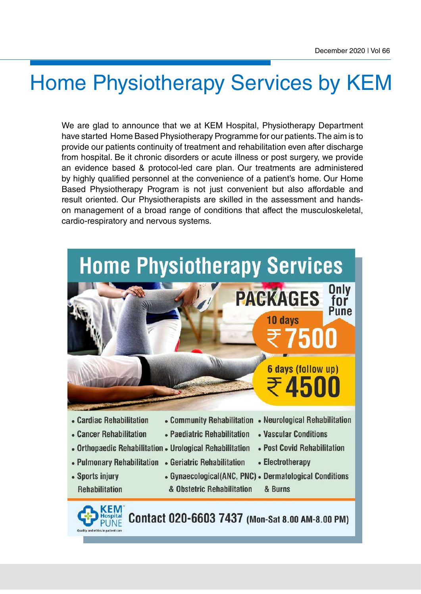## Home Physiotherapy Services by KEM

We are glad to announce that we at KEM Hospital, Physiotherapy Department have started Home Based Physiotherapy Programme for our patients. The aim is to provide our patients continuity of treatment and rehabilitation even after discharge from hospital. Be it chronic disorders or acute illness or post surgery, we provide an evidence based & protocol-led care plan. Our treatments are administered by highly qualified personnel at the convenience of a patient's home. Our Home Based Physiotherapy Program is not just convenient but also affordable and result oriented. Our Physiotherapists are skilled in the assessment and handson management of a broad range of conditions that affect the musculoskeletal, cardio-respiratory and nervous systems.

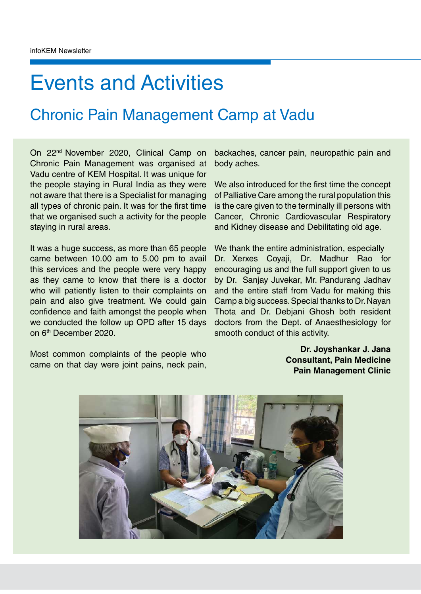### Events and Activities

### Chronic Pain Management Camp at Vadu

On 22nd November 2020, Clinical Camp on Chronic Pain Management was organised at Vadu centre of KEM Hospital. It was unique for the people staying in Rural India as they were not aware that there is a Specialist for managing all types of chronic pain. It was for the first time that we organised such a activity for the people staying in rural areas.

It was a huge success, as more than 65 people came between 10.00 am to 5.00 pm to avail this services and the people were very happy as they came to know that there is a doctor who will patiently listen to their complaints on pain and also give treatment. We could gain confidence and faith amongst the people when we conducted the follow up OPD after 15 days on 6th December 2020.

Most common complaints of the people who came on that day were joint pains, neck pain,

backaches, cancer pain, neuropathic pain and body aches.

We also introduced for the first time the concept of Palliative Care among the rural population this is the care given to the terminally ill persons with Cancer, Chronic Cardiovascular Respiratory and Kidney disease and Debilitating old age.

We thank the entire administration, especially Dr. Xerxes Coyaji, Dr. Madhur Rao for encouraging us and the full support given to us by Dr. Sanjay Juvekar, Mr. Pandurang Jadhav and the entire staff from Vadu for making this Camp a big success. Special thanks to Dr. Nayan Thota and Dr. Debjani Ghosh both resident doctors from the Dept. of Anaesthesiology for smooth conduct of this activity.

> **Dr. Joyshankar J. Jana Consultant, Pain Medicine Pain Management Clinic**

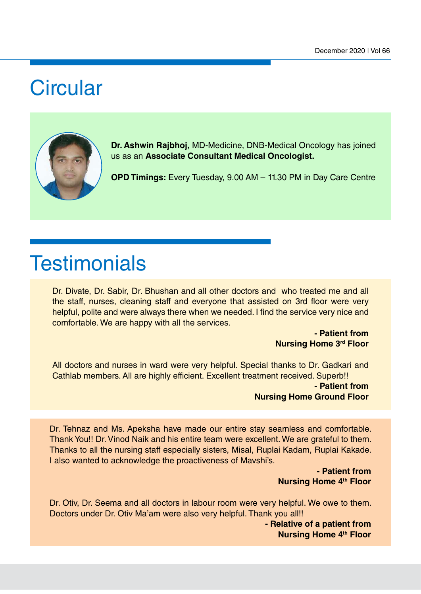# **Circular**



**Dr. Ashwin Rajbhoj,** MD-Medicine, DNB-Medical Oncology has joined us as an **Associate Consultant Medical Oncologist.**

**OPD Timings:** Every Tuesday, 9.00 AM – 11.30 PM in Day Care Centre

### **Testimonials**

Dr. Divate, Dr. Sabir, Dr. Bhushan and all other doctors and who treated me and all the staff, nurses, cleaning staff and everyone that assisted on 3rd floor were very helpful, polite and were always there when we needed. I find the service very nice and comfortable. We are happy with all the services.

> **- Patient from Nursing Home 3rd Floor**

All doctors and nurses in ward were very helpful. Special thanks to Dr. Gadkari and Cathlab members. All are highly efficient. Excellent treatment received. Superb!!

> **- Patient from Nursing Home Ground Floor**

Dr. Tehnaz and Ms. Apeksha have made our entire stay seamless and comfortable. Thank You!! Dr. Vinod Naik and his entire team were excellent. We are grateful to them. Thanks to all the nursing staff especially sisters, Misal, Ruplai Kadam, Ruplai Kakade. I also wanted to acknowledge the proactiveness of Mavshi's.

> **- Patient from Nursing Home 4th Floor**

Dr. Otiv, Dr. Seema and all doctors in labour room were very helpful. We owe to them. Doctors under Dr. Otiv Ma'am were also very helpful. Thank you all!!

> **- Relative of a patient from Nursing Home 4th Floor**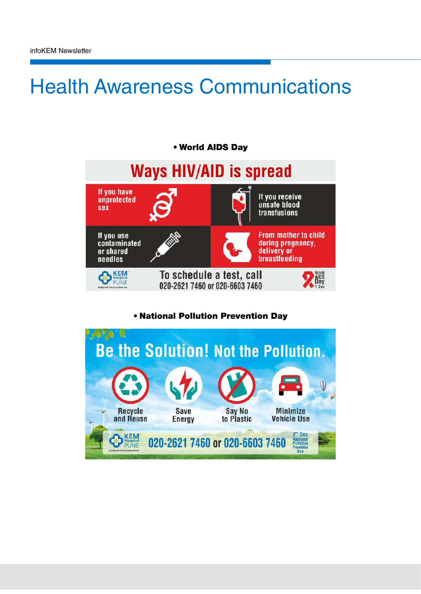### Health Awareness Communications



#### • National Pollution Prevention Day

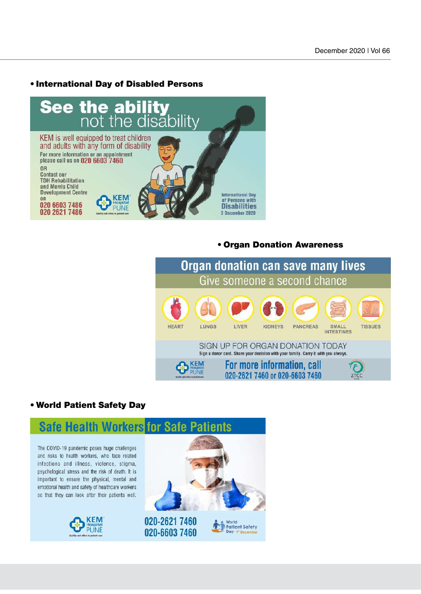#### • International Day of Disabled Persons



#### • Organ Donation Awareness



#### • World Patient Safety Day

### **Safe Health Workers for Safe Patients**

The COVID-19 pandemic poses huge challenges and risks to health workers, who face related infections and illness, violence, stigma, psychological stress and the risk of death. It is important to ensure the physical, mental and emotional health and safety of healthcare workers so that they can look after their patients well.